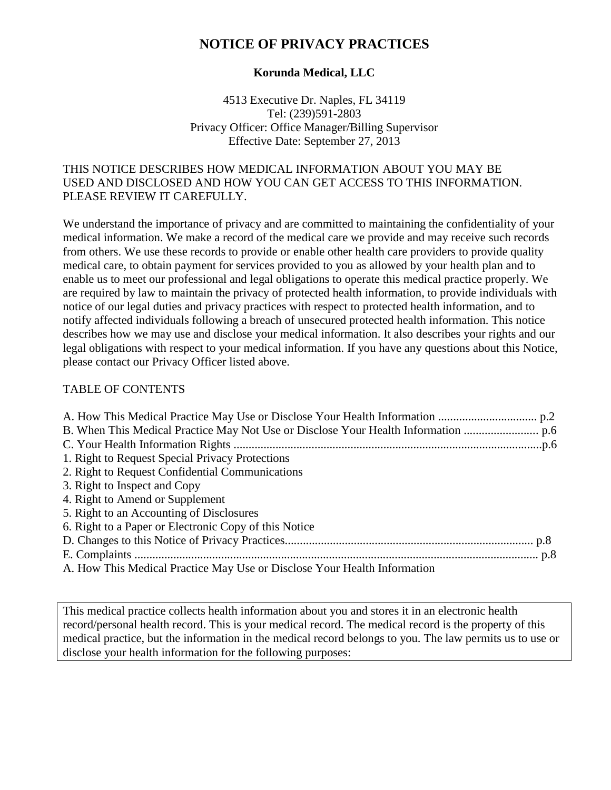# **NOTICE OF PRIVACY PRACTICES**

#### **Korunda Medical, LLC**

4513 Executive Dr. Naples, FL 34119 Tel: (239)591-2803 Privacy Officer: Office Manager/Billing Supervisor Effective Date: September 27, 2013

#### THIS NOTICE DESCRIBES HOW MEDICAL INFORMATION ABOUT YOU MAY BE USED AND DISCLOSED AND HOW YOU CAN GET ACCESS TO THIS INFORMATION. PLEASE REVIEW IT CAREFULLY.

We understand the importance of privacy and are committed to maintaining the confidentiality of your medical information. We make a record of the medical care we provide and may receive such records from others. We use these records to provide or enable other health care providers to provide quality medical care, to obtain payment for services provided to you as allowed by your health plan and to enable us to meet our professional and legal obligations to operate this medical practice properly. We are required by law to maintain the privacy of protected health information, to provide individuals with notice of our legal duties and privacy practices with respect to protected health information, and to notify affected individuals following a breach of unsecured protected health information. This notice describes how we may use and disclose your medical information. It also describes your rights and our legal obligations with respect to your medical information. If you have any questions about this Notice, please contact our Privacy Officer listed above.

### TABLE OF CONTENTS

| 1. Right to Request Special Privacy Protections                          |  |
|--------------------------------------------------------------------------|--|
| 2. Right to Request Confidential Communications                          |  |
| 3. Right to Inspect and Copy                                             |  |
| 4. Right to Amend or Supplement                                          |  |
| 5. Right to an Accounting of Disclosures                                 |  |
| 6. Right to a Paper or Electronic Copy of this Notice                    |  |
|                                                                          |  |
|                                                                          |  |
| A. How This Medical Practice May Use or Disclose Your Health Information |  |

This medical practice collects health information about you and stores it in an electronic health record/personal health record. This is your medical record. The medical record is the property of this medical practice, but the information in the medical record belongs to you. The law permits us to use or disclose your health information for the following purposes: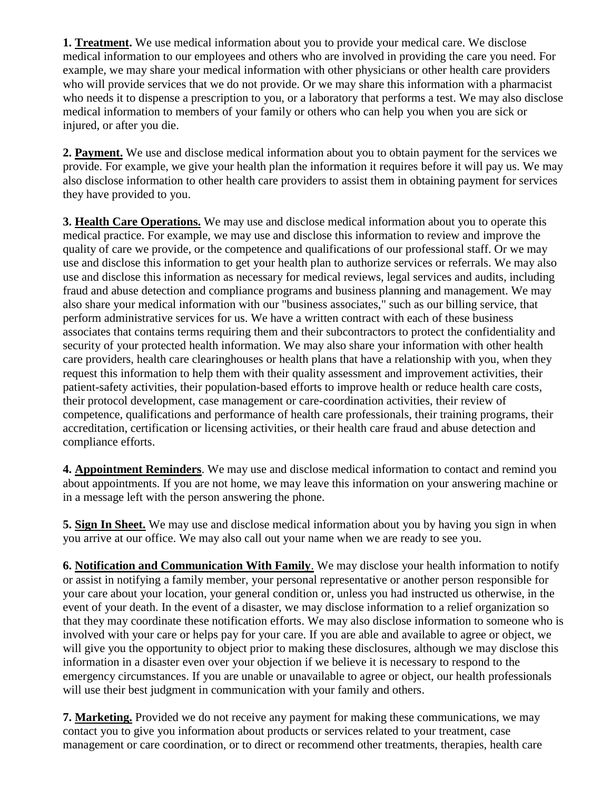**1. Treatment.** We use medical information about you to provide your medical care. We disclose medical information to our employees and others who are involved in providing the care you need. For example, we may share your medical information with other physicians or other health care providers who will provide services that we do not provide. Or we may share this information with a pharmacist who needs it to dispense a prescription to you, or a laboratory that performs a test. We may also disclose medical information to members of your family or others who can help you when you are sick or injured, or after you die.

**2. Payment.** We use and disclose medical information about you to obtain payment for the services we provide. For example, we give your health plan the information it requires before it will pay us. We may also disclose information to other health care providers to assist them in obtaining payment for services they have provided to you.

**3. Health Care Operations.** We may use and disclose medical information about you to operate this medical practice. For example, we may use and disclose this information to review and improve the quality of care we provide, or the competence and qualifications of our professional staff. Or we may use and disclose this information to get your health plan to authorize services or referrals. We may also use and disclose this information as necessary for medical reviews, legal services and audits, including fraud and abuse detection and compliance programs and business planning and management. We may also share your medical information with our "business associates," such as our billing service, that perform administrative services for us. We have a written contract with each of these business associates that contains terms requiring them and their subcontractors to protect the confidentiality and security of your protected health information. We may also share your information with other health care providers, health care clearinghouses or health plans that have a relationship with you, when they request this information to help them with their quality assessment and improvement activities, their patient-safety activities, their population-based efforts to improve health or reduce health care costs, their protocol development, case management or care-coordination activities, their review of competence, qualifications and performance of health care professionals, their training programs, their accreditation, certification or licensing activities, or their health care fraud and abuse detection and compliance efforts.

**4. Appointment Reminders**. We may use and disclose medical information to contact and remind you about appointments. If you are not home, we may leave this information on your answering machine or in a message left with the person answering the phone.

**5. Sign In Sheet.** We may use and disclose medical information about you by having you sign in when you arrive at our office. We may also call out your name when we are ready to see you.

**6. Notification and Communication With Family**. We may disclose your health information to notify or assist in notifying a family member, your personal representative or another person responsible for your care about your location, your general condition or, unless you had instructed us otherwise, in the event of your death. In the event of a disaster, we may disclose information to a relief organization so that they may coordinate these notification efforts. We may also disclose information to someone who is involved with your care or helps pay for your care. If you are able and available to agree or object, we will give you the opportunity to object prior to making these disclosures, although we may disclose this information in a disaster even over your objection if we believe it is necessary to respond to the emergency circumstances. If you are unable or unavailable to agree or object, our health professionals will use their best judgment in communication with your family and others.

**7. Marketing.** Provided we do not receive any payment for making these communications, we may contact you to give you information about products or services related to your treatment, case management or care coordination, or to direct or recommend other treatments, therapies, health care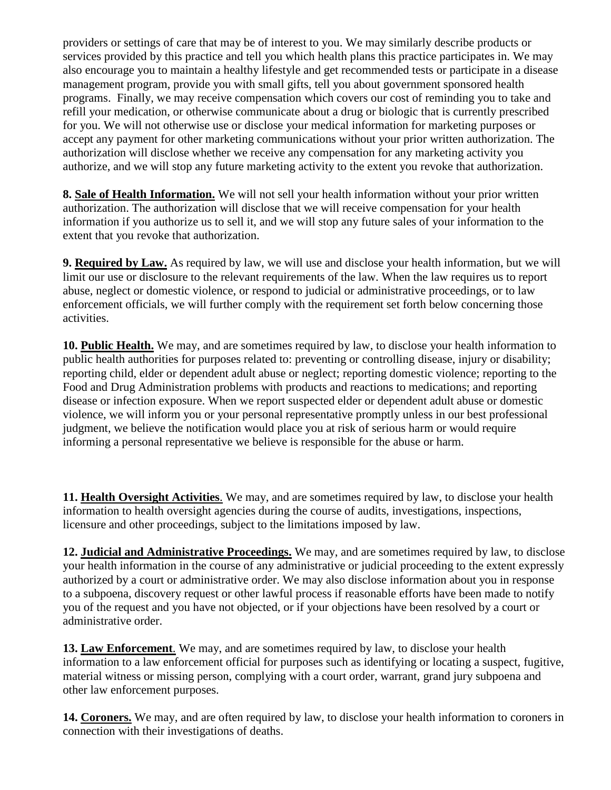providers or settings of care that may be of interest to you. We may similarly describe products or services provided by this practice and tell you which health plans this practice participates in. We may also encourage you to maintain a healthy lifestyle and get recommended tests or participate in a disease management program, provide you with small gifts, tell you about government sponsored health programs. Finally, we may receive compensation which covers our cost of reminding you to take and refill your medication, or otherwise communicate about a drug or biologic that is currently prescribed for you. We will not otherwise use or disclose your medical information for marketing purposes or accept any payment for other marketing communications without your prior written authorization. The authorization will disclose whether we receive any compensation for any marketing activity you authorize, and we will stop any future marketing activity to the extent you revoke that authorization.

**8. Sale of Health Information.** We will not sell your health information without your prior written authorization. The authorization will disclose that we will receive compensation for your health information if you authorize us to sell it, and we will stop any future sales of your information to the extent that you revoke that authorization.

**9. Required by Law.** As required by law, we will use and disclose your health information, but we will limit our use or disclosure to the relevant requirements of the law. When the law requires us to report abuse, neglect or domestic violence, or respond to judicial or administrative proceedings, or to law enforcement officials, we will further comply with the requirement set forth below concerning those activities.

**10. Public Health.** We may, and are sometimes required by law, to disclose your health information to public health authorities for purposes related to: preventing or controlling disease, injury or disability; reporting child, elder or dependent adult abuse or neglect; reporting domestic violence; reporting to the Food and Drug Administration problems with products and reactions to medications; and reporting disease or infection exposure. When we report suspected elder or dependent adult abuse or domestic violence, we will inform you or your personal representative promptly unless in our best professional judgment, we believe the notification would place you at risk of serious harm or would require informing a personal representative we believe is responsible for the abuse or harm.

**11. Health Oversight Activities**. We may, and are sometimes required by law, to disclose your health information to health oversight agencies during the course of audits, investigations, inspections, licensure and other proceedings, subject to the limitations imposed by law.

**12. Judicial and Administrative Proceedings.** We may, and are sometimes required by law, to disclose your health information in the course of any administrative or judicial proceeding to the extent expressly authorized by a court or administrative order. We may also disclose information about you in response to a subpoena, discovery request or other lawful process if reasonable efforts have been made to notify you of the request and you have not objected, or if your objections have been resolved by a court or administrative order.

**13. Law Enforcement**. We may, and are sometimes required by law, to disclose your health information to a law enforcement official for purposes such as identifying or locating a suspect, fugitive, material witness or missing person, complying with a court order, warrant, grand jury subpoena and other law enforcement purposes.

**14. Coroners.** We may, and are often required by law, to disclose your health information to coroners in connection with their investigations of deaths.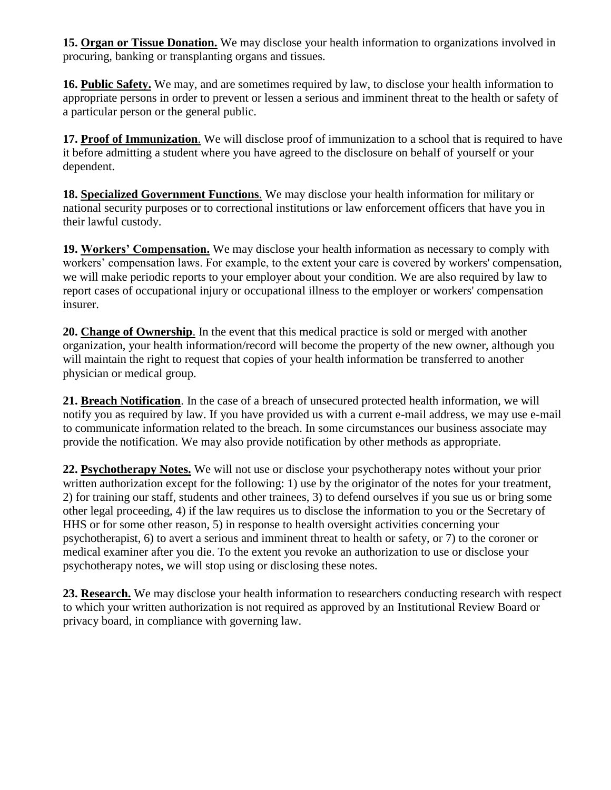**15. Organ or Tissue Donation.** We may disclose your health information to organizations involved in procuring, banking or transplanting organs and tissues.

**16. Public Safety.** We may, and are sometimes required by law, to disclose your health information to appropriate persons in order to prevent or lessen a serious and imminent threat to the health or safety of a particular person or the general public.

**17. Proof of Immunization**. We will disclose proof of immunization to a school that is required to have it before admitting a student where you have agreed to the disclosure on behalf of yourself or your dependent.

**18. Specialized Government Functions**. We may disclose your health information for military or national security purposes or to correctional institutions or law enforcement officers that have you in their lawful custody.

**19. Workers' Compensation.** We may disclose your health information as necessary to comply with workers' compensation laws. For example, to the extent your care is covered by workers' compensation, we will make periodic reports to your employer about your condition. We are also required by law to report cases of occupational injury or occupational illness to the employer or workers' compensation insurer.

**20. Change of Ownership**. In the event that this medical practice is sold or merged with another organization, your health information/record will become the property of the new owner, although you will maintain the right to request that copies of your health information be transferred to another physician or medical group.

**21. Breach Notification**. In the case of a breach of unsecured protected health information, we will notify you as required by law. If you have provided us with a current e-mail address, we may use e-mail to communicate information related to the breach. In some circumstances our business associate may provide the notification. We may also provide notification by other methods as appropriate.

**22. Psychotherapy Notes.** We will not use or disclose your psychotherapy notes without your prior written authorization except for the following: 1) use by the originator of the notes for your treatment, 2) for training our staff, students and other trainees, 3) to defend ourselves if you sue us or bring some other legal proceeding, 4) if the law requires us to disclose the information to you or the Secretary of HHS or for some other reason, 5) in response to health oversight activities concerning your psychotherapist, 6) to avert a serious and imminent threat to health or safety, or 7) to the coroner or medical examiner after you die. To the extent you revoke an authorization to use or disclose your psychotherapy notes, we will stop using or disclosing these notes.

**23. Research.** We may disclose your health information to researchers conducting research with respect to which your written authorization is not required as approved by an Institutional Review Board or privacy board, in compliance with governing law.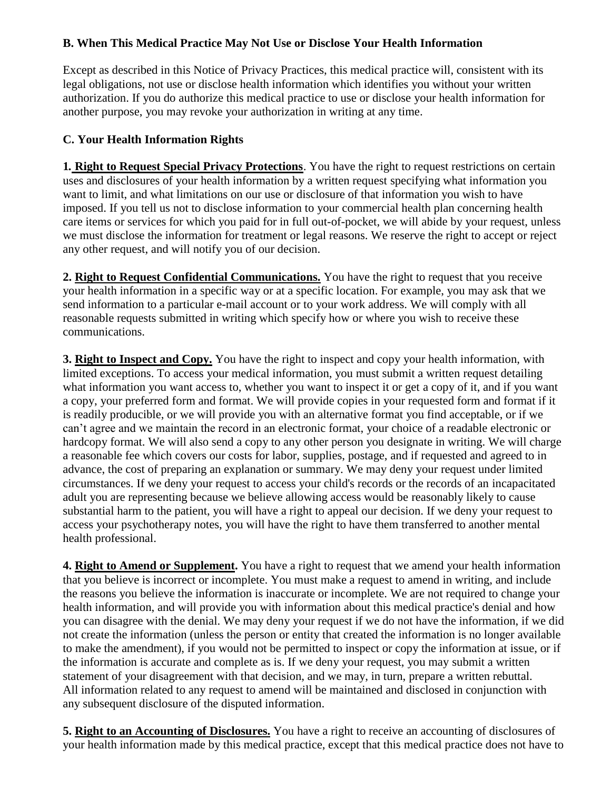## **B. When This Medical Practice May Not Use or Disclose Your Health Information**

Except as described in this Notice of Privacy Practices, this medical practice will, consistent with its legal obligations, not use or disclose health information which identifies you without your written authorization. If you do authorize this medical practice to use or disclose your health information for another purpose, you may revoke your authorization in writing at any time.

## **C. Your Health Information Rights**

**1***.* **Right to Request Special Privacy Protections**. You have the right to request restrictions on certain uses and disclosures of your health information by a written request specifying what information you want to limit, and what limitations on our use or disclosure of that information you wish to have imposed. If you tell us not to disclose information to your commercial health plan concerning health care items or services for which you paid for in full out-of-pocket, we will abide by your request, unless we must disclose the information for treatment or legal reasons. We reserve the right to accept or reject any other request, and will notify you of our decision.

**2. Right to Request Confidential Communications.** You have the right to request that you receive your health information in a specific way or at a specific location. For example, you may ask that we send information to a particular e-mail account or to your work address. We will comply with all reasonable requests submitted in writing which specify how or where you wish to receive these communications.

**3. Right to Inspect and Copy.** You have the right to inspect and copy your health information, with limited exceptions. To access your medical information, you must submit a written request detailing what information you want access to, whether you want to inspect it or get a copy of it, and if you want a copy, your preferred form and format. We will provide copies in your requested form and format if it is readily producible, or we will provide you with an alternative format you find acceptable, or if we can't agree and we maintain the record in an electronic format, your choice of a readable electronic or hardcopy format. We will also send a copy to any other person you designate in writing. We will charge a reasonable fee which covers our costs for labor, supplies, postage, and if requested and agreed to in advance, the cost of preparing an explanation or summary. We may deny your request under limited circumstances. If we deny your request to access your child's records or the records of an incapacitated adult you are representing because we believe allowing access would be reasonably likely to cause substantial harm to the patient, you will have a right to appeal our decision. If we deny your request to access your psychotherapy notes, you will have the right to have them transferred to another mental health professional.

**4. Right to Amend or Supplement.** You have a right to request that we amend your health information that you believe is incorrect or incomplete. You must make a request to amend in writing, and include the reasons you believe the information is inaccurate or incomplete. We are not required to change your health information, and will provide you with information about this medical practice's denial and how you can disagree with the denial. We may deny your request if we do not have the information, if we did not create the information (unless the person or entity that created the information is no longer available to make the amendment), if you would not be permitted to inspect or copy the information at issue, or if the information is accurate and complete as is. If we deny your request, you may submit a written statement of your disagreement with that decision, and we may, in turn, prepare a written rebuttal. All information related to any request to amend will be maintained and disclosed in conjunction with any subsequent disclosure of the disputed information.

**5. Right to an Accounting of Disclosures.** You have a right to receive an accounting of disclosures of your health information made by this medical practice, except that this medical practice does not have to